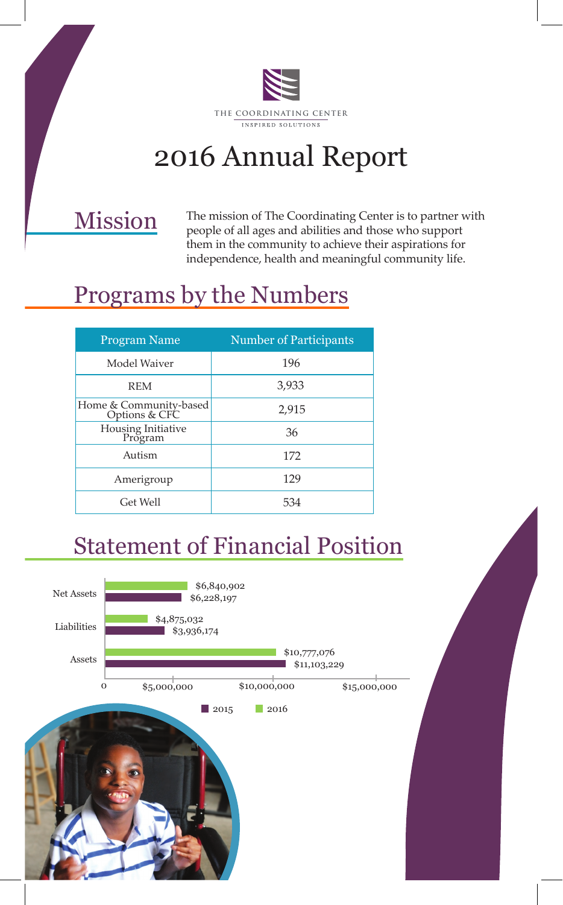

# 2016 Annual Report

#### Mission

The mission of The Coordinating Center is to partner with people of all ages and abilities and those who support them in the community to achieve their aspirations for independence, health and meaningful community life.

# Programs by the Numbers

| <b>Program Name</b>                     | <b>Number of Participants</b> |
|-----------------------------------------|-------------------------------|
| Model Waiver                            | 196                           |
| <b>REM</b>                              | 3,933                         |
| Home & Community-based<br>Options & CFC | 2,915                         |
| Housing Initiative<br>Program           | 36                            |
| Autism                                  | 172                           |
| Amerigroup                              | 129                           |
| Get Well                                | 534                           |

### Statement of Financial Position